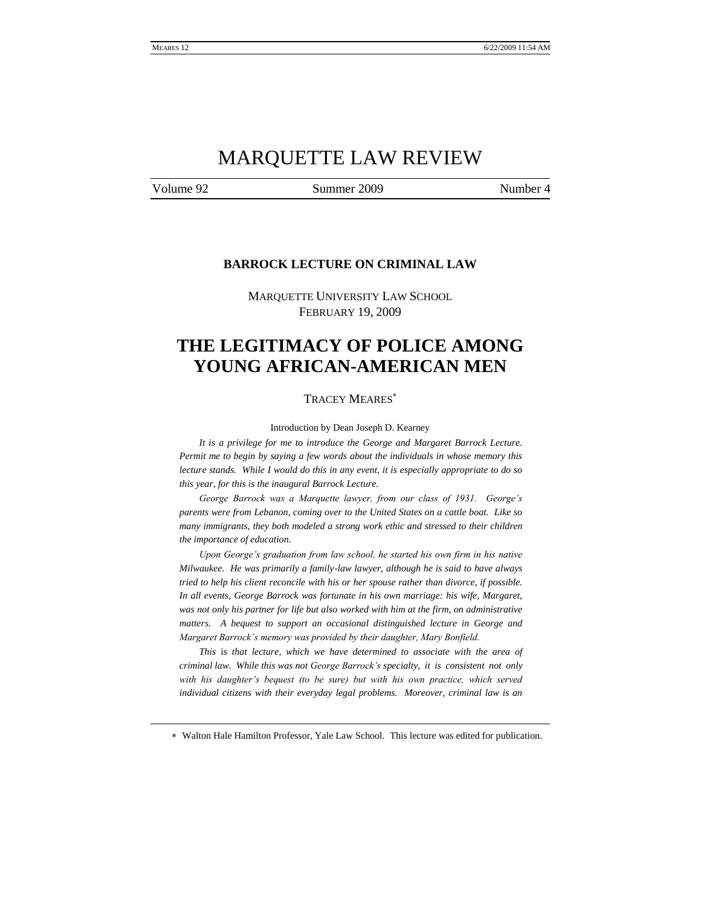# MARQUETTE LAW REVIEW

Volume 92 Summer 2009 Number 4

### **BARROCK LECTURE ON CRIMINAL LAW**

MARQUETTE UNIVERSITY LAW SCHOOL FEBRUARY 19, 2009

# **THE LEGITIMACY OF POLICE AMONG YOUNG AFRICAN-AMERICAN MEN**

#### TRACEY MEARES

Introduction by Dean Joseph D. Kearney

*It is a privilege for me to introduce the George and Margaret Barrock Lecture. Permit me to begin by saying a few words about the individuals in whose memory this lecture stands. While I would do this in any event, it is especially appropriate to do so this year, for this is the inaugural Barrock Lecture.*

*George Barrock was a Marquette lawyer, from our class of 1931. George's parents were from Lebanon, coming over to the United States on a cattle boat. Like so many immigrants, they both modeled a strong work ethic and stressed to their children the importance of education.* 

*Upon George's graduation from law school, he started his own firm in his native Milwaukee. He was primarily a family-law lawyer, although he is said to have always tried to help his client reconcile with his or her spouse rather than divorce, if possible. In all events, George Barrock was fortunate in his own marriage: his wife, Margaret, was not only his partner for life but also worked with him at the firm, on administrative matters. A bequest to support an occasional distinguished lecture in George and Margaret Barrock's memory was provided by their daughter, Mary Bonfield.*

*This* is *that lecture, which we have determined to associate with the area of criminal law. While this was not George Barrock's specialty, it is consistent not only*  with his daughter's bequest (to be sure) but with his own practice, which served *individual citizens with their everyday legal problems. Moreover, criminal law is an* 

Walton Hale Hamilton Professor, Yale Law School. This lecture was edited for publication.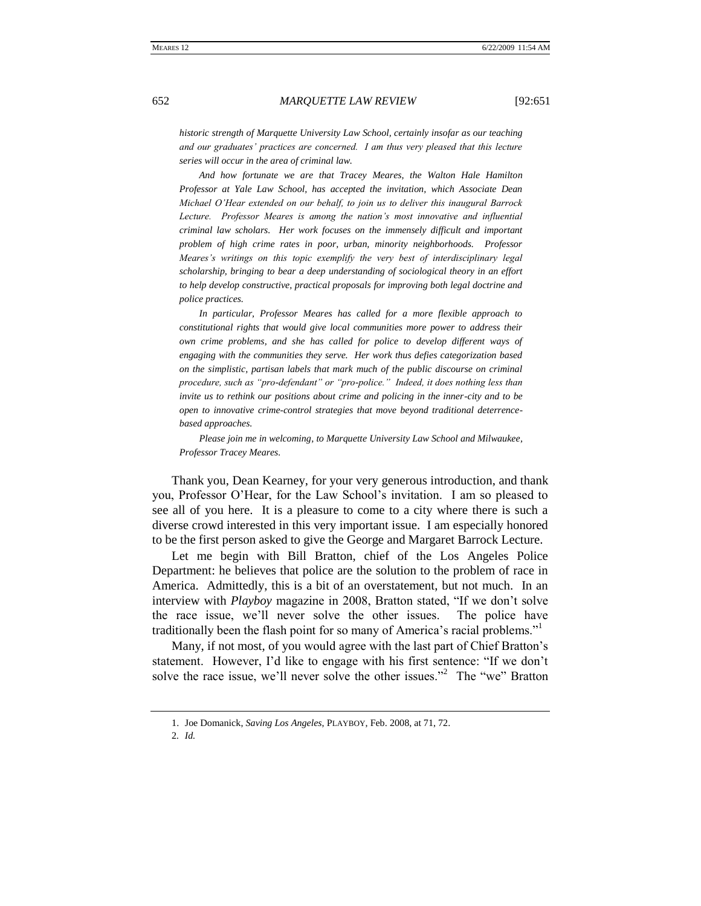*historic strength of Marquette University Law School, certainly insofar as our teaching and our graduates' practices are concerned. I am thus very pleased that this lecture series will occur in the area of criminal law.*

*And how fortunate we are that Tracey Meares, the Walton Hale Hamilton Professor at Yale Law School, has accepted the invitation, which Associate Dean Michael O'Hear extended on our behalf, to join us to deliver this inaugural Barrock Lecture. Professor Meares is among the nation's most innovative and influential criminal law scholars. Her work focuses on the immensely difficult and important problem of high crime rates in poor, urban, minority neighborhoods. Professor Meares's writings on this topic exemplify the very best of interdisciplinary legal scholarship, bringing to bear a deep understanding of sociological theory in an effort to help develop constructive, practical proposals for improving both legal doctrine and police practices.* 

*In particular, Professor Meares has called for a more flexible approach to constitutional rights that would give local communities more power to address their own crime problems, and she has called for police to develop different ways of engaging with the communities they serve. Her work thus defies categorization based on the simplistic, partisan labels that mark much of the public discourse on criminal procedure, such as "pro-defendant" or "pro-police." Indeed, it does nothing less than invite us to rethink our positions about crime and policing in the inner-city and to be open to innovative crime-control strategies that move beyond traditional deterrencebased approaches.* 

*Please join me in welcoming, to Marquette University Law School and Milwaukee, Professor Tracey Meares.*

Thank you, Dean Kearney, for your very generous introduction, and thank you, Professor O'Hear, for the Law School's invitation. I am so pleased to see all of you here. It is a pleasure to come to a city where there is such a diverse crowd interested in this very important issue. I am especially honored to be the first person asked to give the George and Margaret Barrock Lecture.

Let me begin with Bill Bratton, chief of the Los Angeles Police Department: he believes that police are the solution to the problem of race in America. Admittedly, this is a bit of an overstatement, but not much. In an interview with *Playboy* magazine in 2008, Bratton stated, "If we don't solve the race issue, we'll never solve the other issues. The police have traditionally been the flash point for so many of America's racial problems."

Many, if not most, of you would agree with the last part of Chief Bratton's statement. However, I'd like to engage with his first sentence: "If we don't solve the race issue, we'll never solve the other issues."<sup>2</sup> The "we" Bratton

<sup>1.</sup> Joe Domanick, *Saving Los Angeles*, PLAYBOY, Feb. 2008, at 71, 72.

<sup>2</sup>*. Id.*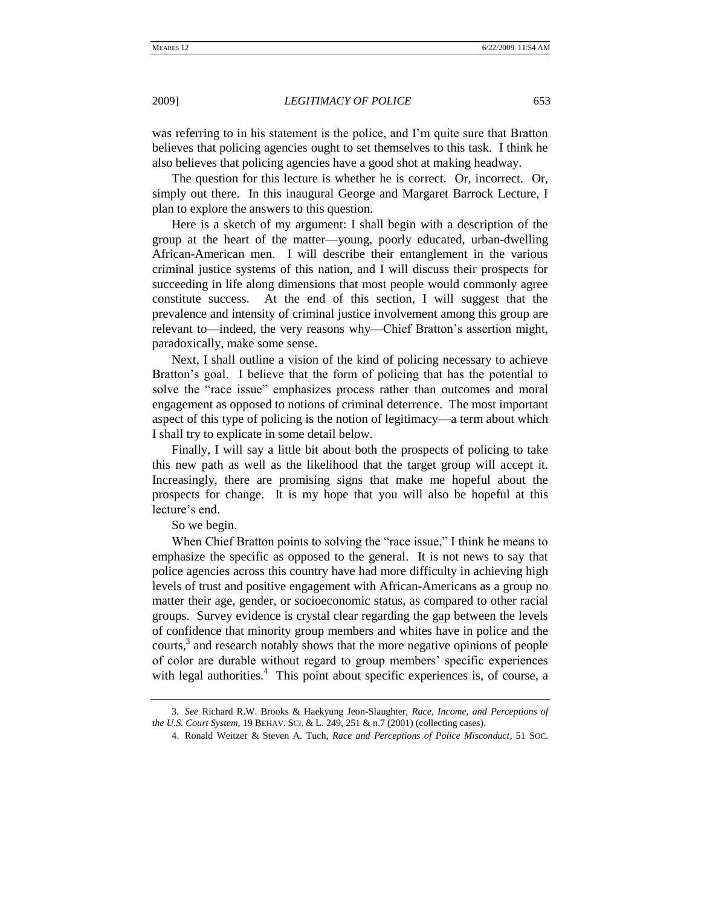was referring to in his statement is the police, and I'm quite sure that Bratton believes that policing agencies ought to set themselves to this task. I think he also believes that policing agencies have a good shot at making headway.

The question for this lecture is whether he is correct. Or, incorrect. Or, simply out there. In this inaugural George and Margaret Barrock Lecture, I plan to explore the answers to this question.

Here is a sketch of my argument: I shall begin with a description of the group at the heart of the matter—young, poorly educated, urban-dwelling African-American men. I will describe their entanglement in the various criminal justice systems of this nation, and I will discuss their prospects for succeeding in life along dimensions that most people would commonly agree constitute success. At the end of this section, I will suggest that the prevalence and intensity of criminal justice involvement among this group are relevant to—indeed, the very reasons why—Chief Bratton's assertion might, paradoxically, make some sense.

Next, I shall outline a vision of the kind of policing necessary to achieve Bratton's goal. I believe that the form of policing that has the potential to solve the "race issue" emphasizes process rather than outcomes and moral engagement as opposed to notions of criminal deterrence. The most important aspect of this type of policing is the notion of legitimacy—a term about which I shall try to explicate in some detail below.

Finally, I will say a little bit about both the prospects of policing to take this new path as well as the likelihood that the target group will accept it. Increasingly, there are promising signs that make me hopeful about the prospects for change. It is my hope that you will also be hopeful at this lecture's end.

So we begin.

When Chief Bratton points to solving the "race issue," I think he means to emphasize the specific as opposed to the general. It is not news to say that police agencies across this country have had more difficulty in achieving high levels of trust and positive engagement with African-Americans as a group no matter their age, gender, or socioeconomic status, as compared to other racial groups. Survey evidence is crystal clear regarding the gap between the levels of confidence that minority group members and whites have in police and the courts, $3$  and research notably shows that the more negative opinions of people of color are durable without regard to group members' specific experiences with legal authorities.<sup>4</sup> This point about specific experiences is, of course, a

<sup>3</sup>*. See* Richard R.W. Brooks & Haekyung Jeon-Slaughter, *Race, Income, and Perceptions of the U.S. Court System*, 19 BEHAV. SCI. & L. 249, 251 & n.7 (2001) (collecting cases).

<sup>4.</sup> Ronald Weitzer & Steven A. Tuch, *Race and Perceptions of Police Misconduct*, 51 SOC.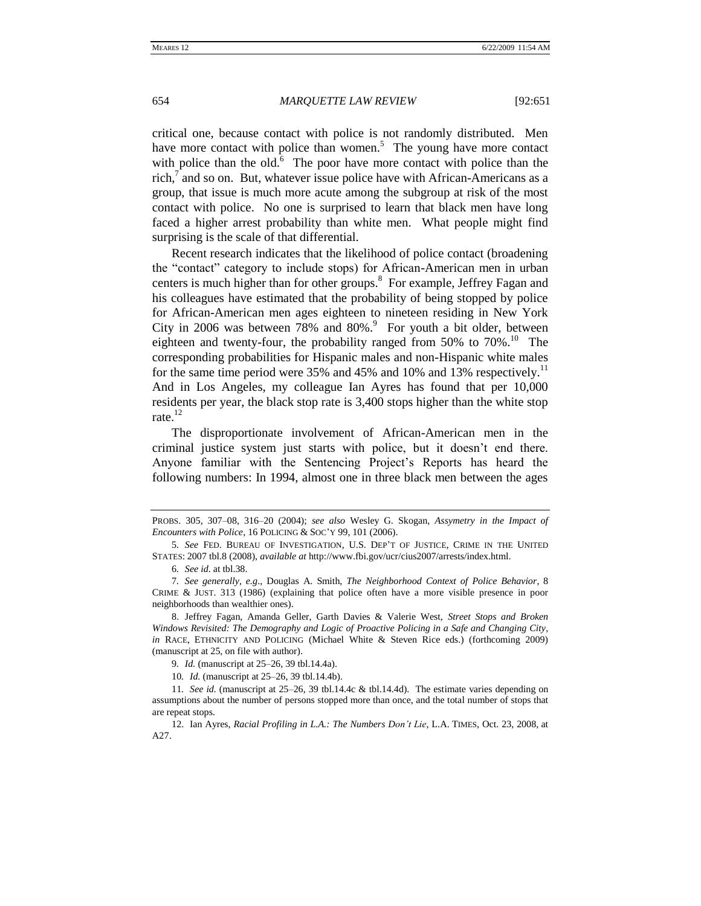critical one, because contact with police is not randomly distributed. Men have more contact with police than women.<sup>5</sup> The young have more contact with police than the old. $\overline{6}$  The poor have more contact with police than the rich, $\bar{7}$  and so on. But, whatever issue police have with African-Americans as a group, that issue is much more acute among the subgroup at risk of the most contact with police. No one is surprised to learn that black men have long faced a higher arrest probability than white men. What people might find surprising is the scale of that differential.

Recent research indicates that the likelihood of police contact (broadening the "contact" category to include stops) for African-American men in urban centers is much higher than for other groups.<sup>8</sup> For example, Jeffrey Fagan and his colleagues have estimated that the probability of being stopped by police for African-American men ages eighteen to nineteen residing in New York City in 2006 was between  $78\%$  and  $80\%$ . For youth a bit older, between eighteen and twenty-four, the probability ranged from 50% to 70%.<sup>10</sup> The corresponding probabilities for Hispanic males and non-Hispanic white males for the same time period were 35% and 45% and 10% and 13% respectively.<sup>11</sup> And in Los Angeles, my colleague Ian Ayres has found that per 10,000 residents per year, the black stop rate is 3,400 stops higher than the white stop rate. $^{12}$ 

The disproportionate involvement of African-American men in the criminal justice system just starts with police, but it doesn't end there. Anyone familiar with the Sentencing Project's Reports has heard the following numbers: In 1994, almost one in three black men between the ages

PROBS. 305, 307–08, 316–20 (2004); *see also* Wesley G. Skogan, *Assymetry in the Impact of Encounters with Police*, 16 POLICING & SOC'Y 99, 101 (2006).

<sup>5</sup>*. See* FED. BUREAU OF INVESTIGATION, U.S. DEP'T OF JUSTICE, CRIME IN THE UNITED STATES: 2007 tbl.8 (2008), *available at* http://www.fbi.gov/ucr/cius2007/arrests/index.html.

<sup>6</sup>*. See id.* at tbl.38.

<sup>7</sup>*. See generally, e.g*., Douglas A. Smith, *The Neighborhood Context of Police Behavior*, 8 CRIME & JUST. 313 (1986) (explaining that police often have a more visible presence in poor neighborhoods than wealthier ones).

<sup>8.</sup> Jeffrey Fagan, Amanda Geller, Garth Davies & Valerie West, *Street Stops and Broken Windows Revisited: The Demography and Logic of Proactive Policing in a Safe and Changing City*, *in* RACE, ETHNICITY AND POLICING (Michael White & Steven Rice eds.) (forthcoming 2009) (manuscript at 25, on file with author).

<sup>9</sup>*. Id.* (manuscript at 25–26, 39 tbl.14.4a).

<sup>10</sup>*. Id.* (manuscript at 25–26, 39 tbl.14.4b).

<sup>11</sup>*. See id.* (manuscript at 25–26, 39 tbl.14.4c & tbl.14.4d). The estimate varies depending on assumptions about the number of persons stopped more than once, and the total number of stops that are repeat stops.

<sup>12.</sup> Ian Ayres, *Racial Profiling in L.A.: The Numbers Don't Lie*, L.A. TIMES, Oct. 23, 2008, at A27.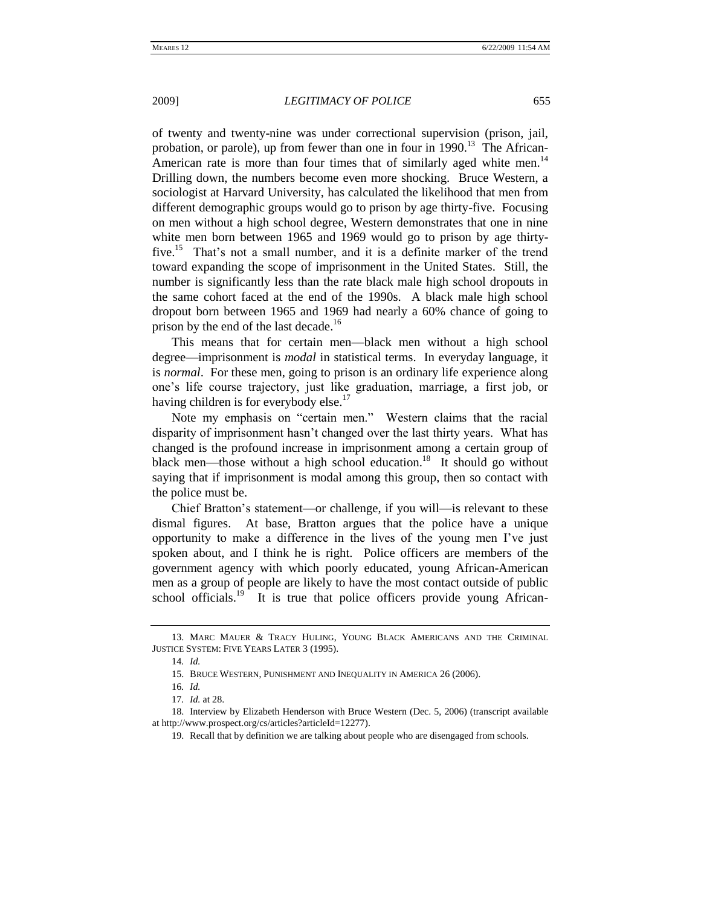of twenty and twenty-nine was under correctional supervision (prison, jail, probation, or parole), up from fewer than one in four in 1990.<sup>13</sup> The African-American rate is more than four times that of similarly aged white men.<sup>14</sup> Drilling down, the numbers become even more shocking. Bruce Western, a sociologist at Harvard University, has calculated the likelihood that men from different demographic groups would go to prison by age thirty-five. Focusing on men without a high school degree, Western demonstrates that one in nine white men born between 1965 and 1969 would go to prison by age thirtyfive.<sup>15</sup> That's not a small number, and it is a definite marker of the trend toward expanding the scope of imprisonment in the United States. Still, the number is significantly less than the rate black male high school dropouts in the same cohort faced at the end of the 1990s. A black male high school dropout born between 1965 and 1969 had nearly a 60% chance of going to prison by the end of the last decade.<sup>16</sup>

This means that for certain men—black men without a high school degree—imprisonment is *modal* in statistical terms. In everyday language, it is *normal*. For these men, going to prison is an ordinary life experience along one's life course trajectory, just like graduation, marriage, a first job, or having children is for everybody else.<sup>17</sup>

Note my emphasis on "certain men." Western claims that the racial disparity of imprisonment hasn't changed over the last thirty years. What has changed is the profound increase in imprisonment among a certain group of black men—those without a high school education.<sup>18</sup> It should go without saying that if imprisonment is modal among this group, then so contact with the police must be.

Chief Bratton's statement—or challenge, if you will—is relevant to these dismal figures. At base, Bratton argues that the police have a unique opportunity to make a difference in the lives of the young men I've just spoken about, and I think he is right. Police officers are members of the government agency with which poorly educated, young African-American men as a group of people are likely to have the most contact outside of public school officials.<sup>19</sup> It is true that police officers provide young African-

<sup>13.</sup> MARC MAUER & TRACY HULING, YOUNG BLACK AMERICANS AND THE CRIMINAL JUSTICE SYSTEM: FIVE YEARS LATER 3 (1995).

<sup>14</sup>*. Id.*

<sup>15.</sup> BRUCE WESTERN, PUNISHMENT AND INEQUALITY IN AMERICA 26 (2006).

<sup>16</sup>*. Id.*

<sup>17</sup>*. Id.* at 28.

<sup>18.</sup> Interview by Elizabeth Henderson with Bruce Western (Dec. 5, 2006) (transcript available at http://www.prospect.org/cs/articles?articleId=12277).

<sup>19.</sup> Recall that by definition we are talking about people who are disengaged from schools.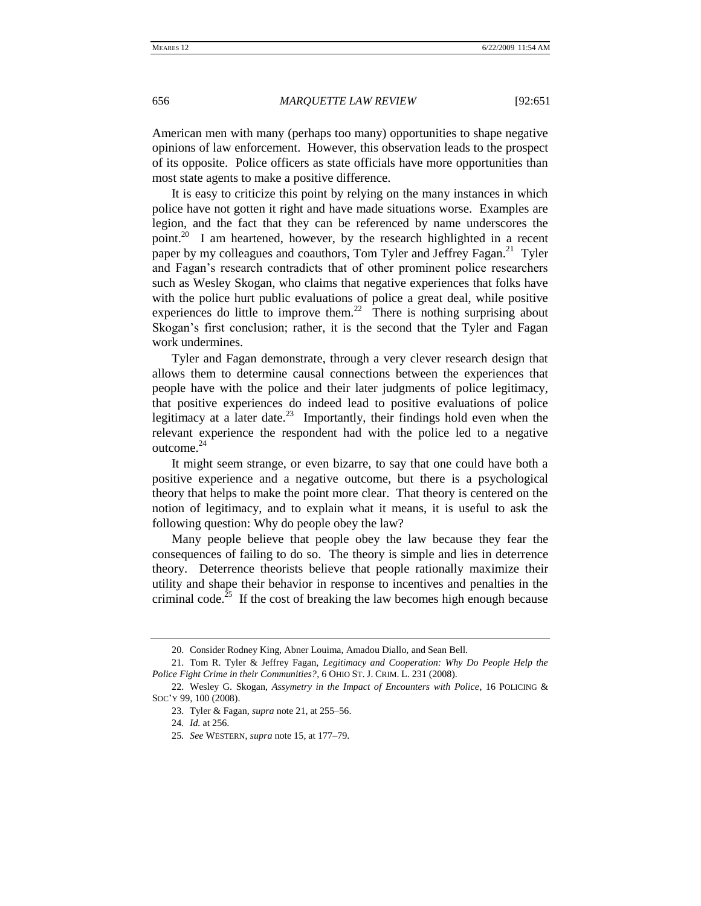American men with many (perhaps too many) opportunities to shape negative opinions of law enforcement. However, this observation leads to the prospect of its opposite. Police officers as state officials have more opportunities than most state agents to make a positive difference.

It is easy to criticize this point by relying on the many instances in which police have not gotten it right and have made situations worse. Examples are legion, and the fact that they can be referenced by name underscores the point.<sup>20</sup> I am heartened, however, by the research highlighted in a recent paper by my colleagues and coauthors, Tom Tyler and Jeffrey Fagan.<sup>21</sup> Tyler and Fagan's research contradicts that of other prominent police researchers such as Wesley Skogan, who claims that negative experiences that folks have with the police hurt public evaluations of police a great deal, while positive experiences do little to improve them.<sup>22</sup> There is nothing surprising about Skogan's first conclusion; rather, it is the second that the Tyler and Fagan work undermines.

Tyler and Fagan demonstrate, through a very clever research design that allows them to determine causal connections between the experiences that people have with the police and their later judgments of police legitimacy, that positive experiences do indeed lead to positive evaluations of police legitimacy at a later date.<sup>23</sup> Importantly, their findings hold even when the relevant experience the respondent had with the police led to a negative outcome.<sup>24</sup>

It might seem strange, or even bizarre, to say that one could have both a positive experience and a negative outcome, but there is a psychological theory that helps to make the point more clear. That theory is centered on the notion of legitimacy, and to explain what it means, it is useful to ask the following question: Why do people obey the law?

Many people believe that people obey the law because they fear the consequences of failing to do so. The theory is simple and lies in deterrence theory. Deterrence theorists believe that people rationally maximize their utility and shape their behavior in response to incentives and penalties in the criminal code.<sup>25</sup> If the cost of breaking the law becomes high enough because

<sup>20.</sup> Consider Rodney King, Abner Louima, Amadou Diallo, and Sean Bell.

<sup>21.</sup> Tom R. Tyler & Jeffrey Fagan, *Legitimacy and Cooperation: Why Do People Help the Police Fight Crime in their Communities?*, 6 OHIO ST. J. CRIM. L. 231 (2008).

<sup>22.</sup> Wesley G. Skogan, *Assymetry in the Impact of Encounters with Police*, 16 POLICING & SOC'Y 99, 100 (2008).

<sup>23.</sup> Tyler & Fagan, *supra* note 21, at 255–56.

<sup>24</sup>*. Id.* at 256.

<sup>25</sup>*. See* WESTERN, *supra* note 15, at 177–79.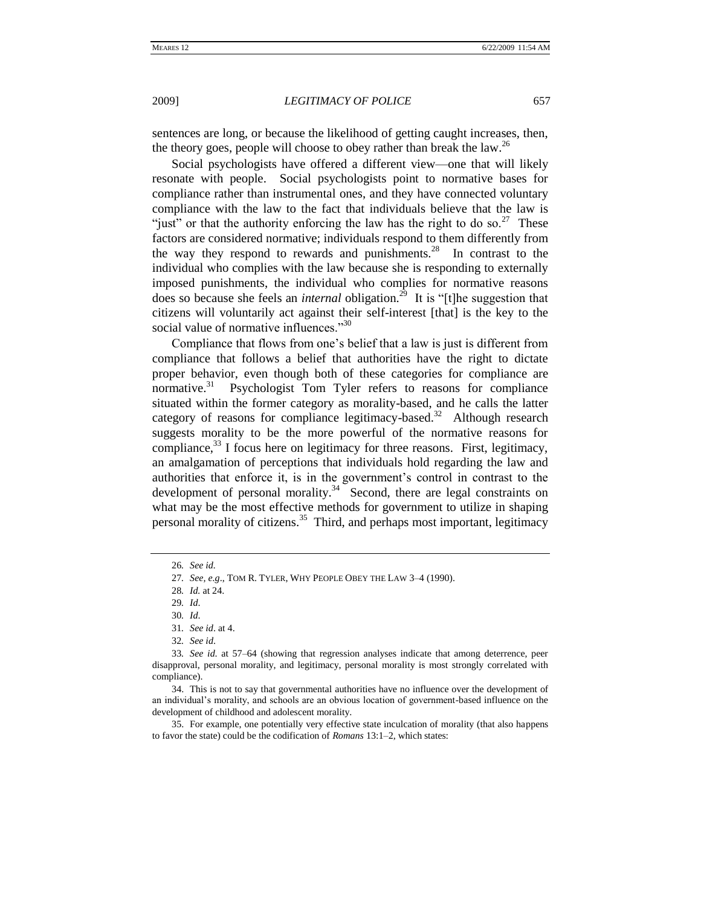sentences are long, or because the likelihood of getting caught increases, then, the theory goes, people will choose to obey rather than break the law.<sup>26</sup>

Social psychologists have offered a different view—one that will likely resonate with people. Social psychologists point to normative bases for compliance rather than instrumental ones, and they have connected voluntary compliance with the law to the fact that individuals believe that the law is "just" or that the authority enforcing the law has the right to do so.<sup>27</sup> These factors are considered normative; individuals respond to them differently from the way they respond to rewards and punishments. $28$  In contrast to the individual who complies with the law because she is responding to externally imposed punishments, the individual who complies for normative reasons does so because she feels an *internal* obligation.<sup>29</sup> It is "[t]he suggestion that citizens will voluntarily act against their self-interest [that] is the key to the social value of normative influences."<sup>30</sup>

Compliance that flows from one's belief that a law is just is different from compliance that follows a belief that authorities have the right to dictate proper behavior, even though both of these categories for compliance are normative. $31$  Psychologist Tom Tyler refers to reasons for compliance situated within the former category as morality-based, and he calls the latter category of reasons for compliance legitimacy-based.<sup>32</sup> Although research suggests morality to be the more powerful of the normative reasons for compliance, $33$  I focus here on legitimacy for three reasons. First, legitimacy, an amalgamation of perceptions that individuals hold regarding the law and authorities that enforce it, is in the government's control in contrast to the development of personal morality. $34$  Second, there are legal constraints on what may be the most effective methods for government to utilize in shaping personal morality of citizens.<sup>35</sup> Third, and perhaps most important, legitimacy

<sup>26</sup>*. See id.*

<sup>27</sup>*. See, e.g*., TOM R. TYLER, WHY PEOPLE OBEY THE LAW 3–4 (1990).

<sup>28</sup>*. Id.* at 24.

<sup>29</sup>*. Id*.

<sup>30</sup>*. Id*.

<sup>31</sup>*. See id*. at 4.

<sup>32</sup>*. See id*.

<sup>33</sup>*. See id*. at 57–64 (showing that regression analyses indicate that among deterrence, peer disapproval, personal morality, and legitimacy, personal morality is most strongly correlated with compliance).

<sup>34.</sup> This is not to say that governmental authorities have no influence over the development of an individual's morality, and schools are an obvious location of government-based influence on the development of childhood and adolescent morality.

<sup>35.</sup> For example, one potentially very effective state inculcation of morality (that also happens to favor the state) could be the codification of *Romans* 13:1–2, which states: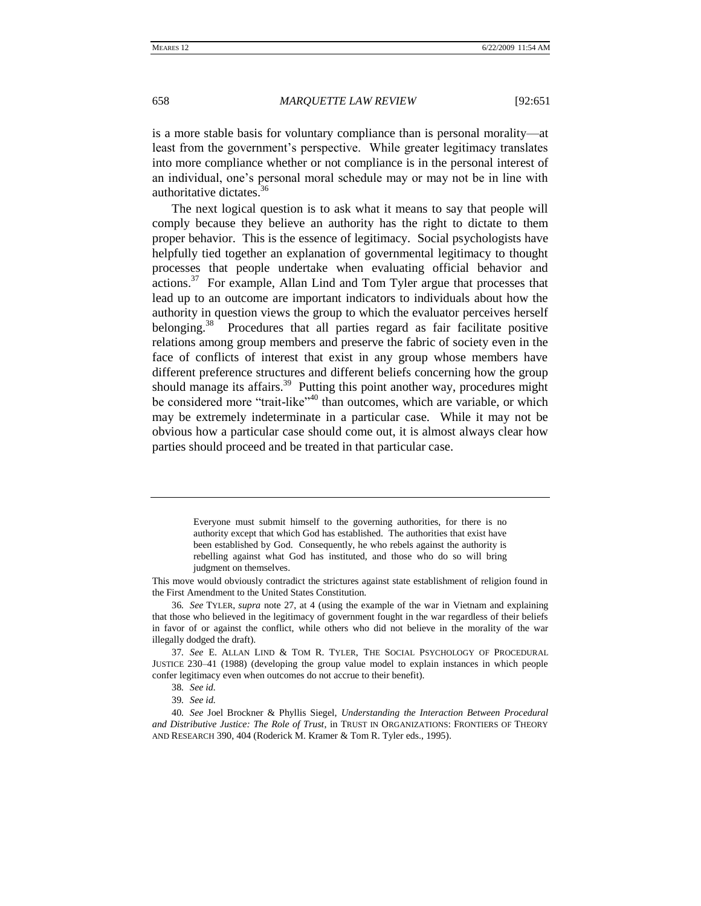is a more stable basis for voluntary compliance than is personal morality—at least from the government's perspective. While greater legitimacy translates into more compliance whether or not compliance is in the personal interest of an individual, one's personal moral schedule may or may not be in line with authoritative dictates.<sup>36</sup>

The next logical question is to ask what it means to say that people will comply because they believe an authority has the right to dictate to them proper behavior. This is the essence of legitimacy. Social psychologists have helpfully tied together an explanation of governmental legitimacy to thought processes that people undertake when evaluating official behavior and  $\arctan^{37}$  For example, Allan Lind and Tom Tyler argue that processes that lead up to an outcome are important indicators to individuals about how the authority in question views the group to which the evaluator perceives herself belonging.<sup>38</sup> Procedures that all parties regard as fair facilitate positive relations among group members and preserve the fabric of society even in the face of conflicts of interest that exist in any group whose members have different preference structures and different beliefs concerning how the group should manage its affairs.<sup>39</sup> Putting this point another way, procedures might be considered more "trait-like"<sup>40</sup> than outcomes, which are variable, or which may be extremely indeterminate in a particular case. While it may not be obvious how a particular case should come out, it is almost always clear how parties should proceed and be treated in that particular case.

> Everyone must submit himself to the governing authorities, for there is no authority except that which God has established. The authorities that exist have been established by God. Consequently, he who rebels against the authority is rebelling against what God has instituted, and those who do so will bring judgment on themselves.

This move would obviously contradict the strictures against state establishment of religion found in the First Amendment to the United States Constitution.

36*. See* TYLER, *supra* note 27, at 4 (using the example of the war in Vietnam and explaining that those who believed in the legitimacy of government fought in the war regardless of their beliefs in favor of or against the conflict, while others who did not believe in the morality of the war illegally dodged the draft).

37*. See* E. ALLAN LIND & TOM R. TYLER, THE SOCIAL PSYCHOLOGY OF PROCEDURAL JUSTICE 230–41 (1988) (developing the group value model to explain instances in which people confer legitimacy even when outcomes do not accrue to their benefit).

40*. See* Joel Brockner & Phyllis Siegel, *Understanding the Interaction Between Procedural and Distributive Justice: The Role of Trust*, in TRUST IN ORGANIZATIONS: FRONTIERS OF THEORY AND RESEARCH 390, 404 (Roderick M. Kramer & Tom R. Tyler eds., 1995).

<sup>38</sup>*. See id.*

<sup>39</sup>*. See id.*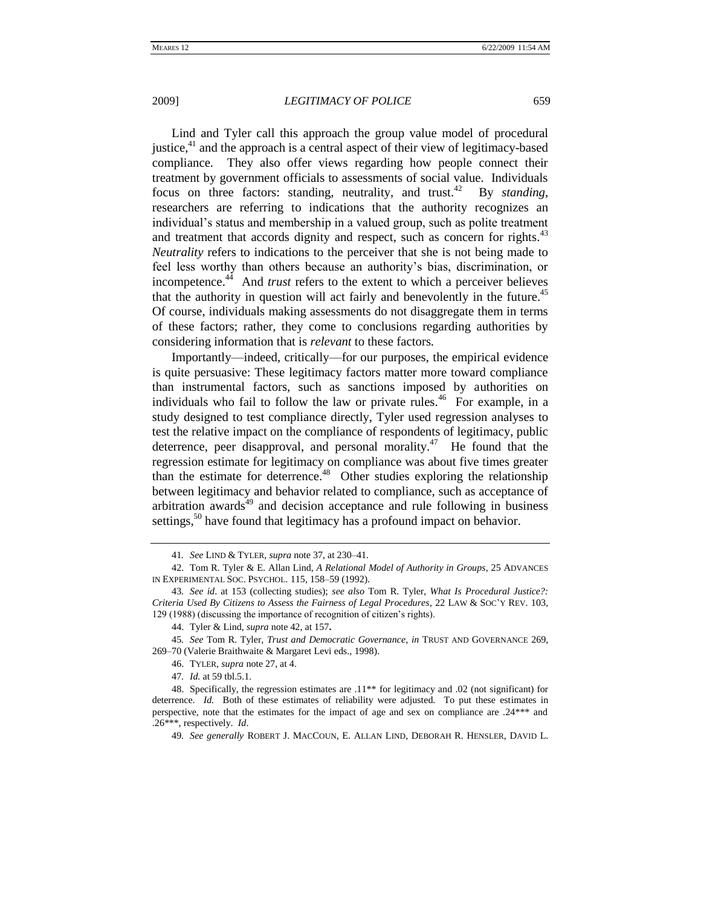Lind and Tyler call this approach the group value model of procedural justice, $4<sup>1</sup>$  and the approach is a central aspect of their view of legitimacy-based compliance. They also offer views regarding how people connect their treatment by government officials to assessments of social value. Individuals focus on three factors: standing, neutrality, and trust. $42$  By *standing*, researchers are referring to indications that the authority recognizes an individual's status and membership in a valued group, such as polite treatment and treatment that accords dignity and respect, such as concern for rights.<sup>43</sup> *Neutrality* refers to indications to the perceiver that she is not being made to feel less worthy than others because an authority's bias, discrimination, or incompetence.<sup> $44$ </sup> And *trust* refers to the extent to which a perceiver believes that the authority in question will act fairly and benevolently in the future.<sup>45</sup> Of course, individuals making assessments do not disaggregate them in terms of these factors; rather, they come to conclusions regarding authorities by considering information that is *relevant* to these factors.

Importantly—indeed, critically—for our purposes, the empirical evidence is quite persuasive: These legitimacy factors matter more toward compliance than instrumental factors, such as sanctions imposed by authorities on individuals who fail to follow the law or private rules.<sup>46</sup> For example, in a study designed to test compliance directly, Tyler used regression analyses to test the relative impact on the compliance of respondents of legitimacy, public deterrence, peer disapproval, and personal morality.<sup>47</sup> He found that the regression estimate for legitimacy on compliance was about five times greater than the estimate for deterrence.<sup>48</sup> Other studies exploring the relationship between legitimacy and behavior related to compliance, such as acceptance of arbitration awards $49$  and decision acceptance and rule following in business settings,<sup>50</sup> have found that legitimacy has a profound impact on behavior.

<sup>41</sup>*. See* LIND & TYLER, *supra* note 37, at 230–41.

<sup>42.</sup> Tom R. Tyler & E. Allan Lind, *A Relational Model of Authority in Groups*, 25 ADVANCES IN EXPERIMENTAL SOC. PSYCHOL. 115, 158–59 (1992).

<sup>43</sup>*. See id*. at 153 (collecting studies); *see also* Tom R. Tyler, *What Is Procedural Justice?: Criteria Used By Citizens to Assess the Fairness of Legal Procedures*, 22 LAW & SOC'Y REV. 103, 129 (1988) (discussing the importance of recognition of citizen's rights).

<sup>44.</sup> Tyler & Lind, *supra* note 42, at 157**.**

<sup>45</sup>*. See* Tom R. Tyler, *Trust and Democratic Governance*, *in* TRUST AND GOVERNANCE 269, 269–70 (Valerie Braithwaite & Margaret Levi eds., 1998).

<sup>46.</sup> TYLER, *supra* note 27, at 4.

<sup>47</sup>*. Id.* at 59 tbl.5.1.

<sup>48.</sup> Specifically, the regression estimates are .11\*\* for legitimacy and .02 (not significant) for deterrence. *Id.* Both of these estimates of reliability were adjusted. To put these estimates in perspective, note that the estimates for the impact of age and sex on compliance are .24\*\*\* and .26\*\*\*, respectively. *Id*.

<sup>49</sup>*. See generally* ROBERT J. MACCOUN, E. ALLAN LIND, DEBORAH R. HENSLER, DAVID L.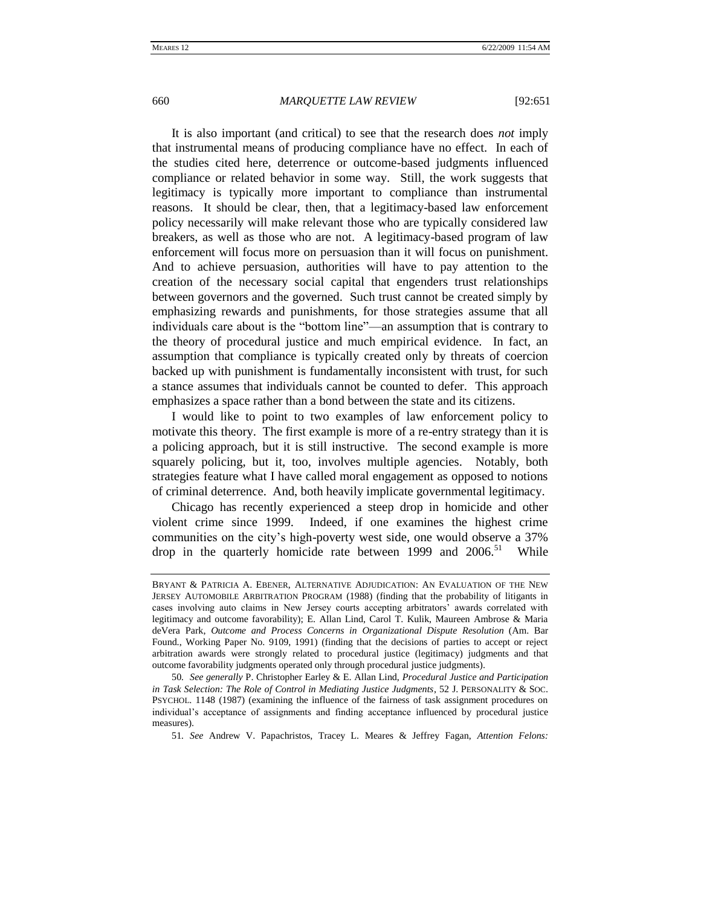It is also important (and critical) to see that the research does *not* imply that instrumental means of producing compliance have no effect. In each of the studies cited here, deterrence or outcome-based judgments influenced compliance or related behavior in some way. Still, the work suggests that legitimacy is typically more important to compliance than instrumental reasons. It should be clear, then, that a legitimacy-based law enforcement policy necessarily will make relevant those who are typically considered law breakers, as well as those who are not. A legitimacy-based program of law enforcement will focus more on persuasion than it will focus on punishment. And to achieve persuasion, authorities will have to pay attention to the creation of the necessary social capital that engenders trust relationships between governors and the governed. Such trust cannot be created simply by emphasizing rewards and punishments, for those strategies assume that all individuals care about is the "bottom line"—an assumption that is contrary to the theory of procedural justice and much empirical evidence. In fact, an assumption that compliance is typically created only by threats of coercion backed up with punishment is fundamentally inconsistent with trust, for such a stance assumes that individuals cannot be counted to defer. This approach emphasizes a space rather than a bond between the state and its citizens.

I would like to point to two examples of law enforcement policy to motivate this theory. The first example is more of a re-entry strategy than it is a policing approach, but it is still instructive. The second example is more squarely policing, but it, too, involves multiple agencies. Notably, both strategies feature what I have called moral engagement as opposed to notions of criminal deterrence. And, both heavily implicate governmental legitimacy.

Chicago has recently experienced a steep drop in homicide and other violent crime since 1999. Indeed, if one examines the highest crime communities on the city's high-poverty west side, one would observe a 37% drop in the quarterly homicide rate between 1999 and 2006.<sup>51</sup> While

51*. See* Andrew V. Papachristos, Tracey L. Meares & Jeffrey Fagan, *Attention Felons:* 

BRYANT & PATRICIA A. EBENER, ALTERNATIVE ADJUDICATION: AN EVALUATION OF THE NEW JERSEY AUTOMOBILE ARBITRATION PROGRAM (1988) (finding that the probability of litigants in cases involving auto claims in New Jersey courts accepting arbitrators' awards correlated with legitimacy and outcome favorability); E. Allan Lind, Carol T. Kulik, Maureen Ambrose & Maria deVera Park, *Outcome and Process Concerns in Organizational Dispute Resolution* (Am. Bar Found., Working Paper No. 9109, 1991) (finding that the decisions of parties to accept or reject arbitration awards were strongly related to procedural justice (legitimacy) judgments and that outcome favorability judgments operated only through procedural justice judgments).

<sup>50</sup>*. See generally* P. Christopher Earley & E. Allan Lind, *Procedural Justice and Participation in Task Selection: The Role of Control in Mediating Justice Judgments*, 52 J. PERSONALITY & SOC. PSYCHOL. 1148 (1987) (examining the influence of the fairness of task assignment procedures on individual's acceptance of assignments and finding acceptance influenced by procedural justice measures).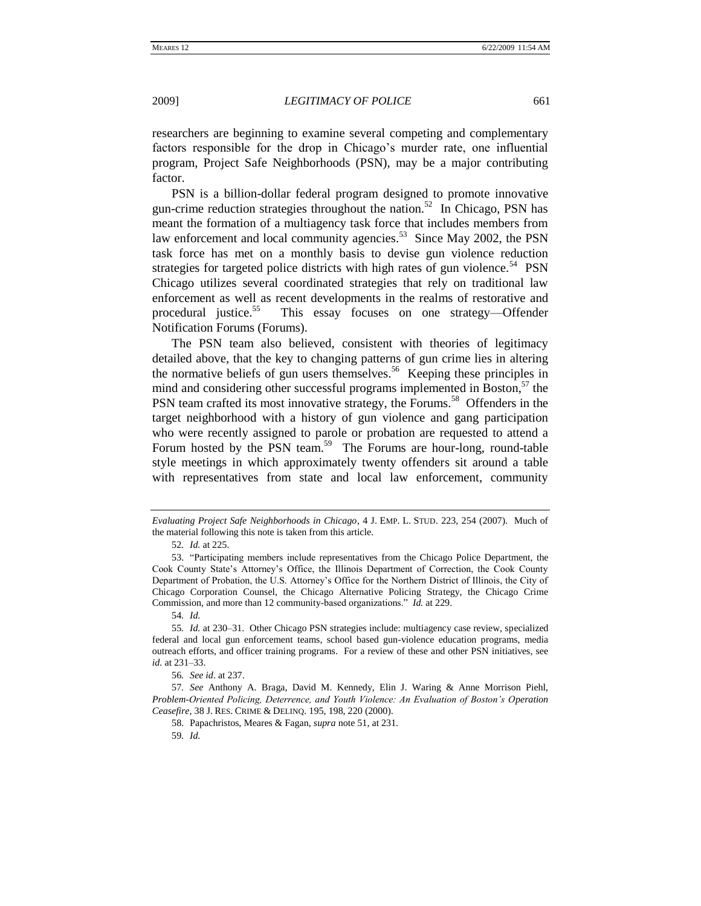researchers are beginning to examine several competing and complementary factors responsible for the drop in Chicago's murder rate, one influential program, Project Safe Neighborhoods (PSN), may be a major contributing factor.

PSN is a billion-dollar federal program designed to promote innovative gun-crime reduction strategies throughout the nation.<sup>52</sup> In Chicago, PSN has meant the formation of a multiagency task force that includes members from law enforcement and local community agencies.<sup>53</sup> Since May 2002, the PSN task force has met on a monthly basis to devise gun violence reduction strategies for targeted police districts with high rates of gun violence.<sup>54</sup> PSN Chicago utilizes several coordinated strategies that rely on traditional law enforcement as well as recent developments in the realms of restorative and procedural justice. $55$  This essay focuses on one strategy—Offender Notification Forums (Forums).

The PSN team also believed, consistent with theories of legitimacy detailed above, that the key to changing patterns of gun crime lies in altering the normative beliefs of gun users themselves.<sup>56</sup> Keeping these principles in mind and considering other successful programs implemented in Boston, $57$  the PSN team crafted its most innovative strategy, the Forums.<sup>58</sup> Offenders in the target neighborhood with a history of gun violence and gang participation who were recently assigned to parole or probation are requested to attend a Forum hosted by the PSN team.<sup>59</sup> The Forums are hour-long, round-table style meetings in which approximately twenty offenders sit around a table with representatives from state and local law enforcement, community

*Evaluating Project Safe Neighborhoods in Chicago*, 4 J. EMP. L. STUD. 223, 254 (2007). Much of the material following this note is taken from this article.

<sup>52</sup>*. Id.* at 225.

<sup>53. &</sup>quot;Participating members include representatives from the Chicago Police Department, the Cook County State's Attorney's Office, the Illinois Department of Correction, the Cook County Department of Probation, the U.S. Attorney's Office for the Northern District of Illinois, the City of Chicago Corporation Counsel, the Chicago Alternative Policing Strategy, the Chicago Crime Commission, and more than 12 community-based organizations." *Id.* at 229.

<sup>54</sup>*. Id.*

<sup>55</sup>*. Id.* at 230–31. Other Chicago PSN strategies include: multiagency case review, specialized federal and local gun enforcement teams, school based gun-violence education programs, media outreach efforts, and officer training programs. For a review of these and other PSN initiatives, see *id.* at 231–33.

<sup>56</sup>*. See id*. at 237.

<sup>57</sup>*. See* Anthony A. Braga, David M. Kennedy, Elin J. Waring & Anne Morrison Piehl, *Problem-Oriented Policing, Deterrence, and Youth Violence: An Evaluation of Boston's Operation Ceasefire*, 38 J. RES. CRIME & DELINQ. 195, 198, 220 (2000).

<sup>58.</sup> Papachristos, Meares & Fagan, *supra* note 51, at 231.

<sup>59</sup>*. Id.*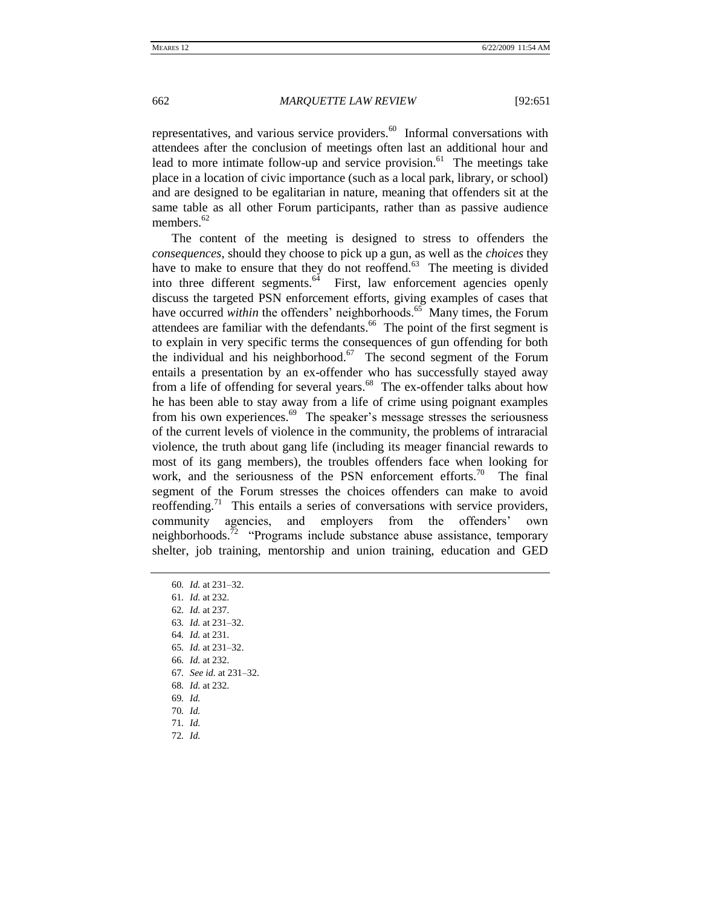representatives, and various service providers. $60$  Informal conversations with attendees after the conclusion of meetings often last an additional hour and lead to more intimate follow-up and service provision.<sup>61</sup> The meetings take place in a location of civic importance (such as a local park, library, or school) and are designed to be egalitarian in nature, meaning that offenders sit at the same table as all other Forum participants, rather than as passive audience members. $62$ 

The content of the meeting is designed to stress to offenders the *consequences*, should they choose to pick up a gun, as well as the *choices* they have to make to ensure that they do not reoffend.<sup>63</sup> The meeting is divided into three different segments. $64$  First, law enforcement agencies openly discuss the targeted PSN enforcement efforts, giving examples of cases that have occurred *within* the offenders' neighborhoods.<sup>65</sup> Many times, the Forum attendees are familiar with the defendants. $66$  The point of the first segment is to explain in very specific terms the consequences of gun offending for both the individual and his neighborhood. $67$  The second segment of the Forum entails a presentation by an ex-offender who has successfully stayed away from a life of offending for several years.<sup>68</sup> The ex-offender talks about how he has been able to stay away from a life of crime using poignant examples from his own experiences.<sup>69</sup> The speaker's message stresses the seriousness of the current levels of violence in the community, the problems of intraracial violence, the truth about gang life (including its meager financial rewards to most of its gang members), the troubles offenders face when looking for work, and the seriousness of the PSN enforcement efforts.<sup>70</sup> The final segment of the Forum stresses the choices offenders can make to avoid reoffending.<sup>71</sup> This entails a series of conversations with service providers, community agencies, and employers from the offenders' own neighborhoods.<sup>72</sup> "Programs include substance abuse assistance, temporary shelter, job training, mentorship and union training, education and GED

60*. Id.* at 231–32.

- 62*. Id.* at 237.
- 63*. Id.* at 231–32.
- 64*. Id.* at 231.
- 65*. Id.* at 231–32.
- 66*. Id.* at 232.
- 67*. See id.* at 231–32.
- 68*. Id.* at 232.
- 69*. Id.*
- 70*. Id.*
- 71*. Id.* 72*. Id.*

<sup>61</sup>*. Id.* at 232.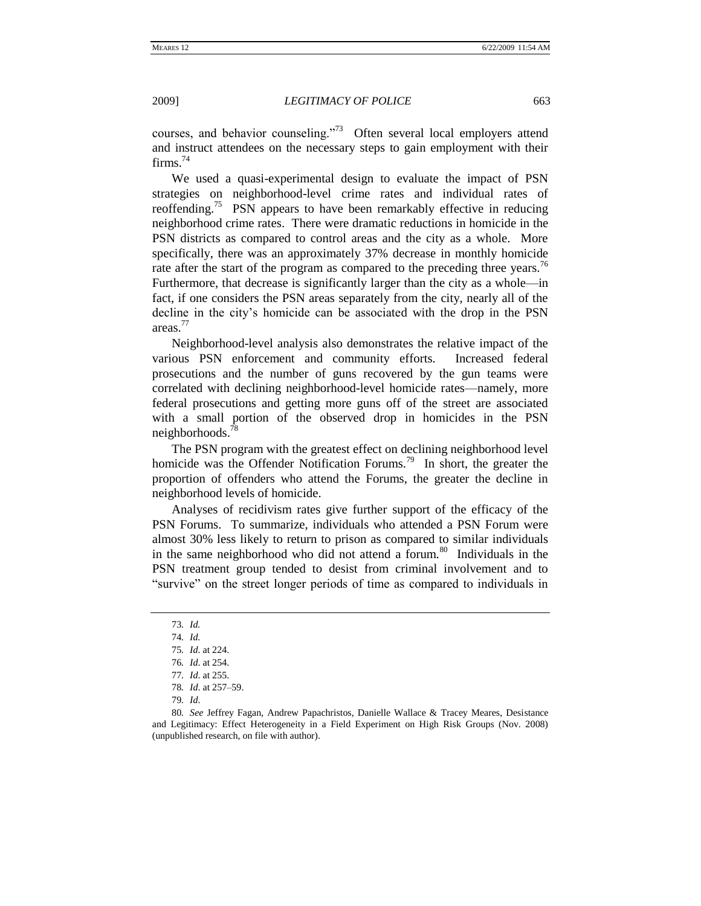courses, and behavior counseling."<sup>73</sup> Often several local employers attend and instruct attendees on the necessary steps to gain employment with their  $firms.<sup>74</sup>$ 

We used a quasi-experimental design to evaluate the impact of PSN strategies on neighborhood-level crime rates and individual rates of reoffending.<sup>75</sup> PSN appears to have been remarkably effective in reducing neighborhood crime rates. There were dramatic reductions in homicide in the PSN districts as compared to control areas and the city as a whole. More specifically, there was an approximately 37% decrease in monthly homicide rate after the start of the program as compared to the preceding three years.<sup>76</sup> Furthermore, that decrease is significantly larger than the city as a whole—in fact, if one considers the PSN areas separately from the city, nearly all of the decline in the city's homicide can be associated with the drop in the PSN areas.<sup>77</sup>

Neighborhood-level analysis also demonstrates the relative impact of the various PSN enforcement and community efforts. Increased federal prosecutions and the number of guns recovered by the gun teams were correlated with declining neighborhood-level homicide rates—namely, more federal prosecutions and getting more guns off of the street are associated with a small portion of the observed drop in homicides in the PSN neighborhoods.<sup>78</sup>

The PSN program with the greatest effect on declining neighborhood level homicide was the Offender Notification Forums.<sup>79</sup> In short, the greater the proportion of offenders who attend the Forums, the greater the decline in neighborhood levels of homicide.

Analyses of recidivism rates give further support of the efficacy of the PSN Forums. To summarize, individuals who attended a PSN Forum were almost 30% less likely to return to prison as compared to similar individuals in the same neighborhood who did not attend a forum.<sup>80</sup> Individuals in the PSN treatment group tended to desist from criminal involvement and to "survive" on the street longer periods of time as compared to individuals in

<sup>73</sup>*. Id.*

<sup>74</sup>*. Id.*

<sup>75</sup>*. Id*. at 224.

<sup>76</sup>*. Id*. at 254.

<sup>77</sup>*. Id*. at 255.

<sup>78</sup>*. Id*. at 257–59.

<sup>79</sup>*. Id*.

<sup>80</sup>*. See* Jeffrey Fagan, Andrew Papachristos, Danielle Wallace & Tracey Meares, Desistance and Legitimacy: Effect Heterogeneity in a Field Experiment on High Risk Groups (Nov. 2008) (unpublished research, on file with author).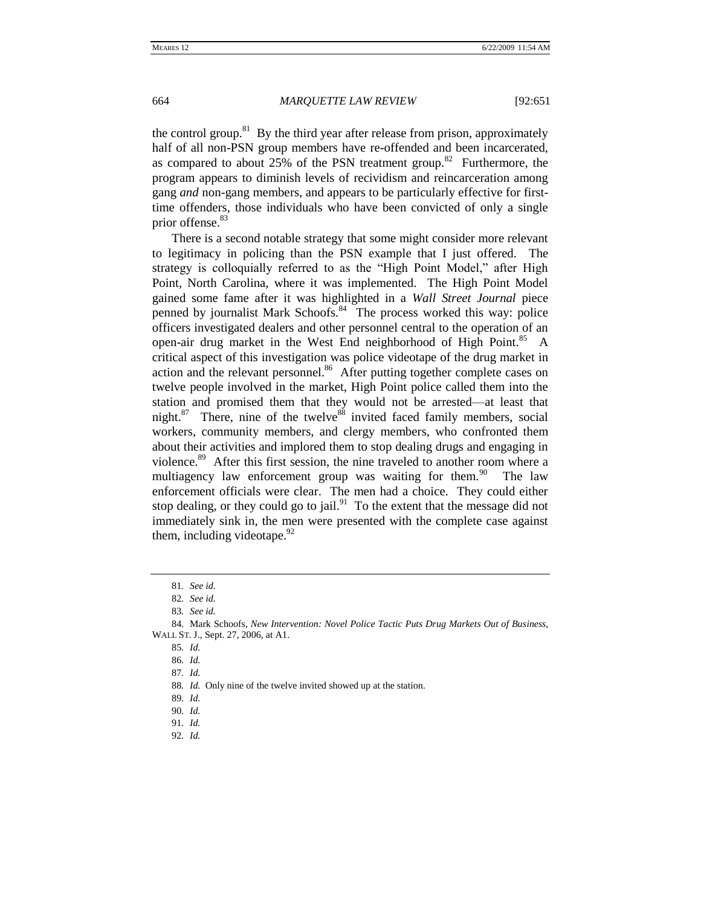the control group.<sup>81</sup> By the third year after release from prison, approximately half of all non-PSN group members have re-offended and been incarcerated, as compared to about  $25\%$  of the PSN treatment group.<sup>82</sup> Furthermore, the program appears to diminish levels of recividism and reincarceration among gang *and* non-gang members, and appears to be particularly effective for firsttime offenders, those individuals who have been convicted of only a single prior offense.<sup>83</sup>

There is a second notable strategy that some might consider more relevant to legitimacy in policing than the PSN example that I just offered. The strategy is colloquially referred to as the "High Point Model," after High Point, North Carolina, where it was implemented. The High Point Model gained some fame after it was highlighted in a *Wall Street Journal* piece penned by journalist Mark Schoofs.<sup>84</sup> The process worked this way: police officers investigated dealers and other personnel central to the operation of an open-air drug market in the West End neighborhood of High Point.<sup>85</sup> A critical aspect of this investigation was police videotape of the drug market in action and the relevant personnel.<sup>86</sup> After putting together complete cases on twelve people involved in the market, High Point police called them into the station and promised them that they would not be arrested—at least that night.<sup>87</sup> There, nine of the twelve<sup>88</sup> invited faced family members, social workers, community members, and clergy members, who confronted them about their activities and implored them to stop dealing drugs and engaging in violence.<sup>89</sup> After this first session, the nine traveled to another room where a multiagency law enforcement group was waiting for them.<sup>90</sup> The law enforcement officials were clear. The men had a choice. They could either stop dealing, or they could go to jail. $91$  To the extent that the message did not immediately sink in, the men were presented with the complete case against them, including videotape.  $92$ 

<sup>81</sup>*. See id.*

<sup>82</sup>*. See id.*

<sup>83</sup>*. See id.*

<sup>84.</sup> Mark Schoofs, *New Intervention: Novel Police Tactic Puts Drug Markets Out of Business*, WALL ST. J., Sept. 27, 2006, at A1.

<sup>85</sup>*. Id.*

<sup>86</sup>*. Id.*

<sup>87</sup>*. Id.*

<sup>88</sup>*. Id.* Only nine of the twelve invited showed up at the station.

<sup>89</sup>*. Id.*

<sup>90</sup>*. Id.*

<sup>91</sup>*. Id.* 92*. Id.*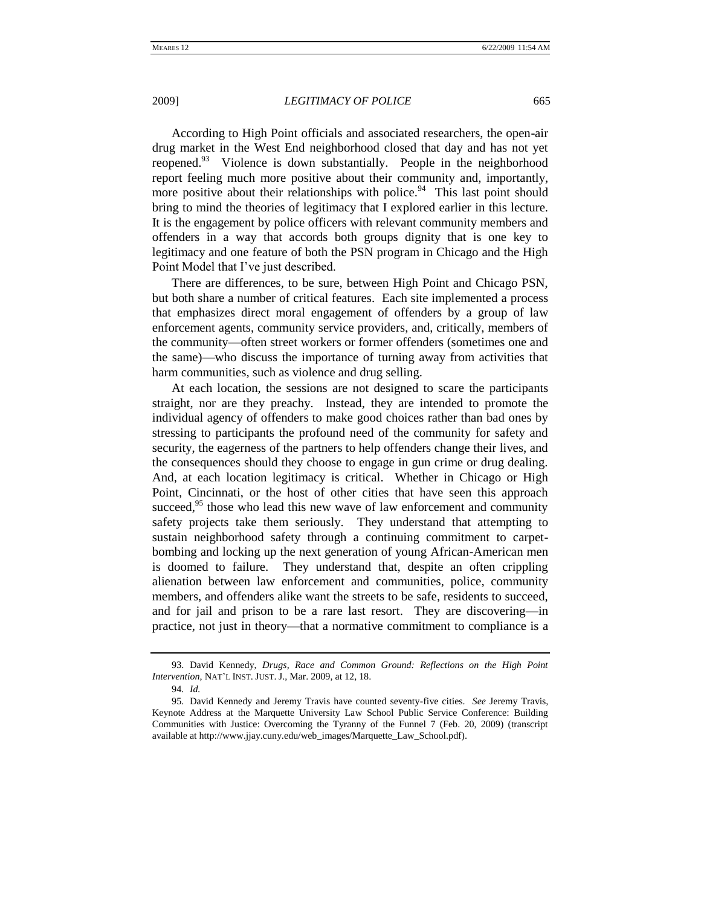According to High Point officials and associated researchers, the open-air drug market in the West End neighborhood closed that day and has not yet reopened.<sup>93</sup> Violence is down substantially. People in the neighborhood report feeling much more positive about their community and, importantly, more positive about their relationships with police.<sup>94</sup> This last point should bring to mind the theories of legitimacy that I explored earlier in this lecture. It is the engagement by police officers with relevant community members and offenders in a way that accords both groups dignity that is one key to legitimacy and one feature of both the PSN program in Chicago and the High Point Model that I've just described.

There are differences, to be sure, between High Point and Chicago PSN, but both share a number of critical features. Each site implemented a process that emphasizes direct moral engagement of offenders by a group of law enforcement agents, community service providers, and, critically, members of the community—often street workers or former offenders (sometimes one and the same)—who discuss the importance of turning away from activities that harm communities, such as violence and drug selling.

At each location, the sessions are not designed to scare the participants straight, nor are they preachy. Instead, they are intended to promote the individual agency of offenders to make good choices rather than bad ones by stressing to participants the profound need of the community for safety and security, the eagerness of the partners to help offenders change their lives, and the consequences should they choose to engage in gun crime or drug dealing. And, at each location legitimacy is critical. Whether in Chicago or High Point, Cincinnati, or the host of other cities that have seen this approach succeed, $95$  those who lead this new wave of law enforcement and community safety projects take them seriously. They understand that attempting to sustain neighborhood safety through a continuing commitment to carpetbombing and locking up the next generation of young African-American men is doomed to failure. They understand that, despite an often crippling alienation between law enforcement and communities, police, community members, and offenders alike want the streets to be safe, residents to succeed, and for jail and prison to be a rare last resort. They are discovering—in practice, not just in theory—that a normative commitment to compliance is a

<sup>93.</sup> David Kennedy, *Drugs, Race and Common Ground: Reflections on the High Point Intervention*, NAT'L INST. JUST. J., Mar. 2009, at 12, 18.

<sup>94</sup>*. Id.*

<sup>95.</sup> David Kennedy and Jeremy Travis have counted seventy-five cities. *See* Jeremy Travis, Keynote Address at the Marquette University Law School Public Service Conference: Building Communities with Justice: Overcoming the Tyranny of the Funnel 7 (Feb. 20, 2009) (transcript available at http://www.jjay.cuny.edu/web\_images/Marquette\_Law\_School.pdf).